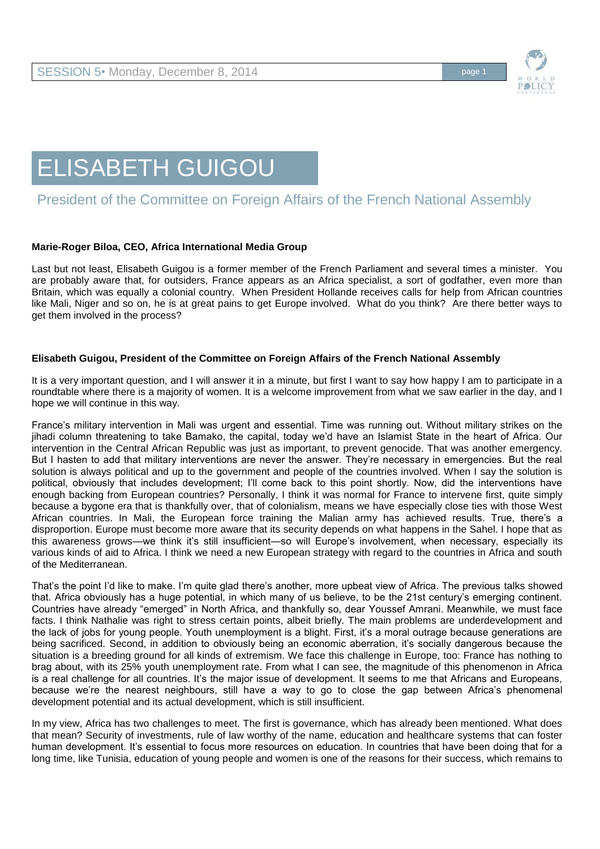

# ELISABETH GUIGOU

## President of the Committee on Foreign Affairs of the French National Assembly

### **Marie-Roger Biloa, CEO, Africa International Media Group**

Last but not least, Elisabeth Guigou is a former member of the French Parliament and several times a minister. You are probably aware that, for outsiders, France appears as an Africa specialist, a sort of godfather, even more than Britain, which was equally a colonial country. When President Hollande receives calls for help from African countries like Mali, Niger and so on, he is at great pains to get Europe involved. What do you think? Are there better ways to get them involved in the process?

### **Elisabeth Guigou, President of the Committee on Foreign Affairs of the French National Assembly**

It is a very important question, and I will answer it in a minute, but first I want to say how happy I am to participate in a roundtable where there is a majority of women. It is a welcome improvement from what we saw earlier in the day, and I hope we will continue in this way.

France's military intervention in Mali was urgent and essential. Time was running out. Without military strikes on the jihadi column threatening to take Bamako, the capital, today we'd have an Islamist State in the heart of Africa. Our intervention in the Central African Republic was just as important, to prevent genocide. That was another emergency. But I hasten to add that military interventions are never the answer. They're necessary in emergencies. But the real solution is always political and up to the government and people of the countries involved. When I say the solution is political, obviously that includes development; I'll come back to this point shortly. Now, did the interventions have enough backing from European countries? Personally, I think it was normal for France to intervene first, quite simply because a bygone era that is thankfully over, that of colonialism, means we have especially close ties with those West African countries. In Mali, the European force training the Malian army has achieved results. True, there's a disproportion. Europe must become more aware that its security depends on what happens in the Sahel. I hope that as this awareness grows—we think it's still insufficient—so will Europe's involvement, when necessary, especially its various kinds of aid to Africa. I think we need a new European strategy with regard to the countries in Africa and south of the Mediterranean.

That's the point I'd like to make. I'm quite glad there's another, more upbeat view of Africa. The previous talks showed that. Africa obviously has a huge potential, in which many of us believe, to be the 21st century's emerging continent. Countries have already "emerged" in North Africa, and thankfully so, dear Youssef Amrani. Meanwhile, we must face facts. I think Nathalie was right to stress certain points, albeit briefly. The main problems are underdevelopment and the lack of jobs for young people. Youth unemployment is a blight. First, it's a moral outrage because generations are being sacrificed. Second, in addition to obviously being an economic aberration, it's socially dangerous because the situation is a breeding ground for all kinds of extremism. We face this challenge in Europe, too: France has nothing to brag about, with its 25% youth unemployment rate. From what I can see, the magnitude of this phenomenon in Africa is a real challenge for all countries. It's the major issue of development. It seems to me that Africans and Europeans, because we're the nearest neighbours, still have a way to go to close the gap between Africa's phenomenal development potential and its actual development, which is still insufficient.

In my view, Africa has two challenges to meet. The first is governance, which has already been mentioned. What does that mean? Security of investments, rule of law worthy of the name, education and healthcare systems that can foster human development. It's essential to focus more resources on education. In countries that have been doing that for a long time, like Tunisia, education of young people and women is one of the reasons for their success, which remains to